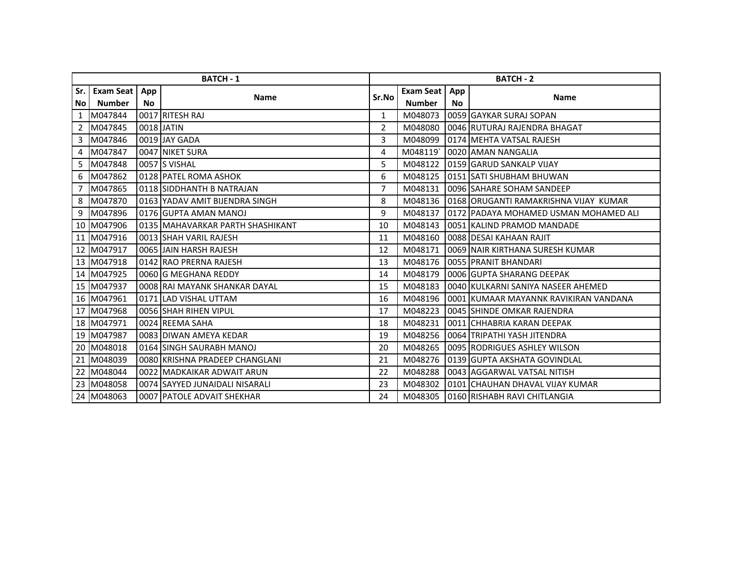| <b>BATCH - 1</b> |                  |     |                                  |                | <b>BATCH - 2</b> |     |                                         |  |  |
|------------------|------------------|-----|----------------------------------|----------------|------------------|-----|-----------------------------------------|--|--|
| Sr. I            | <b>Exam Seat</b> | App |                                  | Sr.No          | Exam Seat        | App |                                         |  |  |
| No l             | <b>Number</b>    | No. | <b>Name</b>                      |                | <b>Number</b>    | No. | <b>Name</b>                             |  |  |
| $\mathbf{1}$     | M047844          |     | 0017 RITESH RAJ                  | $\mathbf{1}$   | M048073          |     | 0059 GAYKAR SURAJ SOPAN                 |  |  |
| $\overline{2}$   | M047845          |     | 0018 JATIN                       | $\overline{2}$ | M048080          |     | 0046 RUTURAJ RAJENDRA BHAGAT            |  |  |
| 3                | M047846          |     | 0019 JAY GADA                    | 3              | M048099          |     | 0174 MEHTA VATSAL RAJESH                |  |  |
| 4                | M047847          |     | 0047 NIKET SURA                  | 4              | M048119          |     | 0020 AMAN NANGALIA                      |  |  |
| 5.               | M047848          |     | 0057 S VISHAL                    | 5              | M048122          |     | 0159 GARUD SANKALP VIJAY                |  |  |
| 6                | M047862          |     | 0128 PATEL ROMA ASHOK            | 6              | M048125          |     | 0151 SATI SHUBHAM BHUWAN                |  |  |
| 7                | M047865          |     | 0118 SIDDHANTH B NATRAJAN        | 7              | M048131          |     | 0096 SAHARE SOHAM SANDEEP               |  |  |
| 8                | M047870          |     | 0163 YADAV AMIT BIJENDRA SINGH   | 8              | M048136          |     | 0168 ORUGANTI RAMAKRISHNA VIJAY KUMAR   |  |  |
| 9                | M047896          |     | 0176 GUPTA AMAN MANOJ            | 9              | M048137          |     | 10172 JPADAYA MOHAMED USMAN MOHAMED ALI |  |  |
|                  | 10 M047906       |     | 0135 MAHAVARKAR PARTH SHASHIKANT | 10             | M048143          |     | 0051 KALIND PRAMOD MANDADE              |  |  |
|                  | 11 M047916       |     | 0013 SHAH VARIL RAJESH           | 11             | M048160          |     | 0088 DESAI KAHAAN RAJIT                 |  |  |
|                  | 12 M047917       |     | 0065 JJAIN HARSH RAJESH          | 12             | M048171          |     | 0069 NAIR KIRTHANA SURESH KUMAR         |  |  |
|                  | 13 M047918       |     | 0142 RAO PRERNA RAJESH           | 13             | M048176          |     | 0055 PRANIT BHANDARI                    |  |  |
|                  | 14 M047925       |     | 0060 G MEGHANA REDDY             | 14             | M048179          |     | 0006 GUPTA SHARANG DEEPAK               |  |  |
|                  | 15 M047937       |     | 0008 RAI MAYANK SHANKAR DAYAL    | 15             | M048183          |     | 0040 KULKARNI SANIYA NASEER AHEMED      |  |  |
|                  | 16 M047961       |     | 0171 LAD VISHAL UTTAM            | 16             | M048196          |     | 0001 KUMAAR MAYANNK RAVIKIRAN VANDANA   |  |  |
|                  | 17 M047968       |     | 0056 SHAH RIHEN VIPUL            | 17             | M048223          |     | 0045 SHINDE OMKAR RAJENDRA              |  |  |
|                  | 18 M047971       |     | 0024 REEMA SAHA                  | 18             | M048231          |     | 0011 CHHABRIA KARAN DEEPAK              |  |  |
|                  | 19 M047987       |     | 0083 DIWAN AMEYA KEDAR           | 19             | M048256          |     | 0064 TRIPATHI YASH JITENDRA             |  |  |
|                  | 20 M048018       |     | 0164 SINGH SAURABH MANOJ         | 20             | M048265          |     | 0095 RODRIGUES ASHLEY WILSON            |  |  |
|                  | 21 M048039       |     | 0080 KRISHNA PRADEEP CHANGLANI   | 21             | M048276          |     | 0139 GUPTA AKSHATA GOVINDLAL            |  |  |
|                  | 22 M048044       |     | 0022 MADKAIKAR ADWAIT ARUN       | 22             | M048288          |     | 0043 AGGARWAL VATSAL NITISH             |  |  |
|                  | 23 M048058       |     | 0074 SAYYED JUNAIDALI NISARALI   | 23             | M048302          |     | 0101 CHAUHAN DHAVAL VIJAY KUMAR         |  |  |
|                  | 24 M048063       |     | 0007 PATOLE ADVAIT SHEKHAR       | 24             | M048305          |     | 0160 RISHABH RAVI CHITLANGIA            |  |  |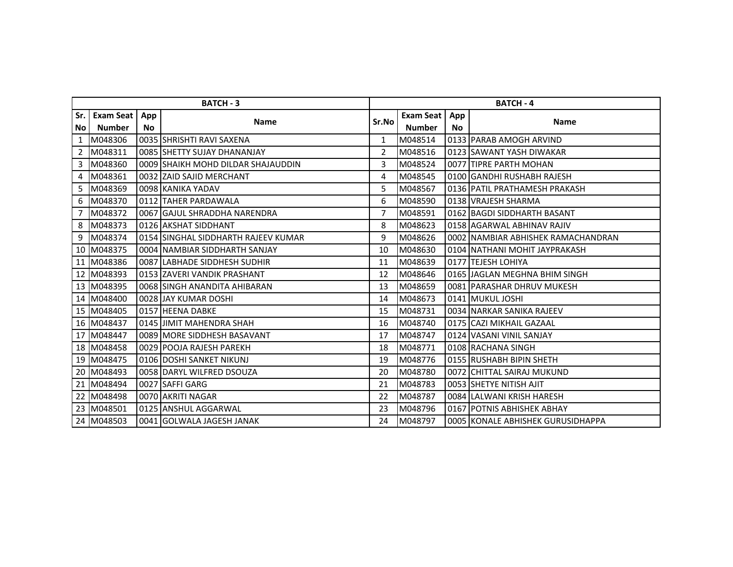| <b>BATCH - 3</b> |                  |     |                                     |       | <b>BATCH - 4</b> |     |                                    |  |  |
|------------------|------------------|-----|-------------------------------------|-------|------------------|-----|------------------------------------|--|--|
| Sr.              | <b>Exam Seat</b> | App | <b>Name</b>                         | Sr.No | <b>Exam Seat</b> | App |                                    |  |  |
| No l             | <b>Number</b>    | No. |                                     |       | <b>Number</b>    | No. | <b>Name</b>                        |  |  |
| $\mathbf{1}$     | M048306          |     | 0035 SHRISHTI RAVI SAXENA           | 1     | M048514          |     | 0133 PARAB AMOGH ARVIND            |  |  |
| $\overline{2}$   | M048311          |     | 0085 SHETTY SUJAY DHANANJAY         | 2     | M048516          |     | 0123 SAWANT YASH DIWAKAR           |  |  |
| 3                | M048360          |     | 0009 SHAIKH MOHD DILDAR SHAJAUDDIN  | 3     | M048524          |     | 0077 TIPRE PARTH MOHAN             |  |  |
| 4                | M048361          |     | 0032 ZAID SAJID MERCHANT            | 4     | M048545          |     | 0100 GANDHI RUSHABH RAJESH         |  |  |
| 5.               | M048369          |     | 0098 KANIKA YADAV                   | 5     | M048567          |     | 0136 PATIL PRATHAMESH PRAKASH      |  |  |
| 6                | M048370          |     | 0112 TAHER PARDAWALA                | 6     | M048590          |     | 0138 VRAJESH SHARMA                |  |  |
| 7                | M048372          |     | 0067 GAJUL SHRADDHA NARENDRA        | 7     | M048591          |     | 0162 BAGDI SIDDHARTH BASANT        |  |  |
| 8                | M048373          |     | 0126 AKSHAT SIDDHANT                | 8     | M048623          |     | 0158 AGARWAL ABHINAV RAJIV         |  |  |
| 9                | M048374          |     | 0154 SINGHAL SIDDHARTH RAJEEV KUMAR | 9     | M048626          |     | 0002 NAMBIAR ABHISHEK RAMACHANDRAN |  |  |
| 10               | M048375          |     | 0004 INAMBIAR SIDDHARTH SANJAY      | 10    | M048630          |     | 0104 NATHANI MOHIT JAYPRAKASH      |  |  |
|                  | 11 M048386       |     | 0087 LABHADE SIDDHESH SUDHIR        | 11    | M048639          |     | 0177 TEJESH LOHIYA                 |  |  |
|                  | 12 M048393       |     | 0153 ZAVERI VANDIK PRASHANT         | 12    | M048646          |     | 0165 JJAGLAN MEGHNA BHIM SINGH     |  |  |
|                  | 13 M048395       |     | 0068 SINGH ANANDITA AHIBARAN        | 13    | M048659          |     | 0081 PARASHAR DHRUV MUKESH         |  |  |
|                  | 14 M048400       |     | 0028 JAY KUMAR DOSHI                | 14    | M048673          |     | 0141 MUKUL JOSHI                   |  |  |
|                  | 15 M048405       |     | 0157 HEENA DABKE                    | 15    | M048731          |     | 0034 NARKAR SANIKA RAJEEV          |  |  |
|                  | 16 M048437       |     | 0145 JJIMIT MAHENDRA SHAH           | 16    | M048740          |     | 0175 CAZI MIKHAIL GAZAAL           |  |  |
|                  | 17 M048447       |     | 0089 MORE SIDDHESH BASAVANT         | 17    | M048747          |     | 0124 VASANI VINIL SANJAY           |  |  |
|                  | 18 M048458       |     | 0029 POOJA RAJESH PAREKH            | 18    | M048771          |     | 0108 RACHANA SINGH                 |  |  |
|                  | 19 M048475       |     | 0106 DOSHI SANKET NIKUNJ            | 19    | M048776          |     | 0155 RUSHABH BIPIN SHETH           |  |  |
| 20               | M048493          |     | 0058 DARYL WILFRED DSOUZA           | 20    | M048780          |     | 0072 CHITTAL SAIRAJ MUKUND         |  |  |
| 21               | M048494          |     | 0027 SAFFI GARG                     | 21    | M048783          |     | 0053 SHETYE NITISH AJIT            |  |  |
|                  | 22 M048498       |     | 0070 AKRITI NAGAR                   | 22    | M048787          |     | 0084 LALWANI KRISH HARESH          |  |  |
|                  | 23 M048501       |     | 0125 ANSHUL AGGARWAL                | 23    | M048796          |     | 0167 POTNIS ABHISHEK ABHAY         |  |  |
|                  | 24 M048503       |     | 0041 GOLWALA JAGESH JANAK           | 24    | M048797          |     | 0005 KONALE ABHISHEK GURUSIDHAPPA  |  |  |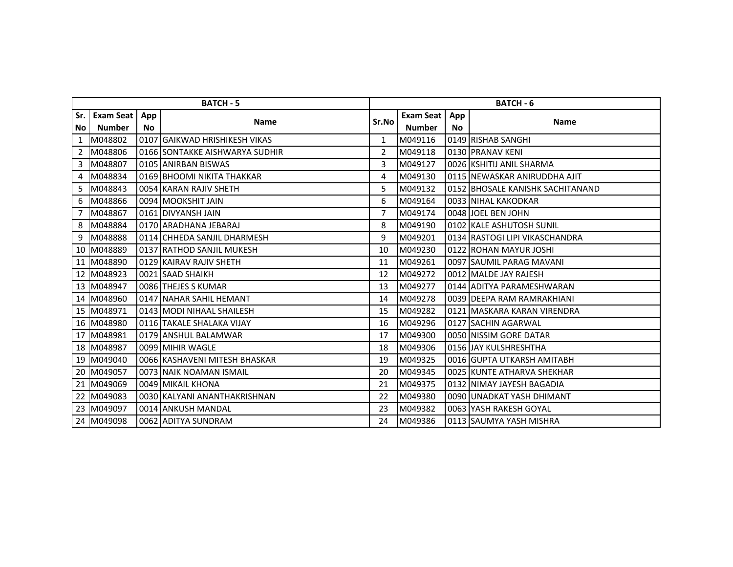| <b>BATCH - 5</b> |                  |     |                                |       | <b>BATCH - 6</b> |     |                                  |  |  |
|------------------|------------------|-----|--------------------------------|-------|------------------|-----|----------------------------------|--|--|
| Sr.              | <b>Exam Seat</b> | App |                                | Sr.No | <b>Exam Seat</b> | App | <b>Name</b>                      |  |  |
| No l             | <b>Number</b>    | No. | <b>Name</b>                    |       | <b>Number</b>    | No. |                                  |  |  |
| $\mathbf{1}$     | M048802          |     | 0107 GAIKWAD HRISHIKESH VIKAS  | 1     | M049116          |     | 0149 RISHAB SANGHI               |  |  |
| $\overline{2}$   | M048806          |     | 0166 SONTAKKE AISHWARYA SUDHIR | 2     | M049118          |     | 0130 PRANAV KENI                 |  |  |
| 3                | M048807          |     | 0105 ANIRBAN BISWAS            | 3     | M049127          |     | 0026 KSHITIJ ANIL SHARMA         |  |  |
| 4                | M048834          |     | 0169 BHOOMI NIKITA THAKKAR     | 4     | M049130          |     | 0115 NEWASKAR ANIRUDDHA AJIT     |  |  |
| 5.               | M048843          |     | 0054 KARAN RAJIV SHETH         | 5     | M049132          |     | 0152 BHOSALE KANISHK SACHITANAND |  |  |
| 6                | M048866          |     | 0094 MOOKSHIT JAIN             | 6     | M049164          |     | 0033 NIHAL KAKODKAR              |  |  |
| 7                | M048867          |     | 0161 DIVYANSH JAIN             | 7     | M049174          |     | 0048 JOEL BEN JOHN               |  |  |
| 8                | M048884          |     | 0170 ARADHANA JEBARAJ          | 8     | M049190          |     | 0102 KALE ASHUTOSH SUNIL         |  |  |
| 9                | M048888          |     | 0114 CHHEDA SANJIL DHARMESH    | 9     | M049201          |     | 0134 RASTOGI LIPI VIKASCHANDRA   |  |  |
| 10               | M048889          |     | 0137 RATHOD SANJIL MUKESH      | 10    | M049230          |     | 0122 ROHAN MAYUR JOSHI           |  |  |
|                  | 11 M048890       |     | 0129 KAIRAV RAJIV SHETH        | 11    | M049261          |     | 0097 SAUMIL PARAG MAVANI         |  |  |
|                  | 12 M048923       |     | 0021 SAAD SHAIKH               | 12    | M049272          |     | 0012 MALDE JAY RAJESH            |  |  |
|                  | 13 M048947       |     | 0086 THEJES S KUMAR            | 13    | M049277          |     | 0144 ADITYA PARAMESHWARAN        |  |  |
|                  | 14 M048960       |     | 0147 NAHAR SAHIL HEMANT        | 14    | M049278          |     | 0039 DEEPA RAM RAMRAKHIANI       |  |  |
|                  | 15 M048971       |     | 0143 MODI NIHAAL SHAILESH      | 15    | M049282          |     | 0121 MASKARA KARAN VIRENDRA      |  |  |
|                  | 16 M048980       |     | 0116 TAKALE SHALAKA VIJAY      | 16    | M049296          |     | 0127 SACHIN AGARWAL              |  |  |
|                  | 17 M048981       |     | 0179 ANSHUL BALAMWAR           | 17    | M049300          |     | 0050 NISSIM GORE DATAR           |  |  |
|                  | 18 M048987       |     | 0099 MIHIR WAGLE               | 18    | M049306          |     | 0156 JAY KULSHRESHTHA            |  |  |
|                  | 19 M049040       |     | 0066 KASHAVENI MITESH BHASKAR  | 19    | M049325          |     | 0016 GUPTA UTKARSH AMITABH       |  |  |
| 20               | M049057          |     | 0073 NAIK NOAMAN ISMAIL        | 20    | M049345          |     | 0025 KUNTE ATHARVA SHEKHAR       |  |  |
| 21               | M049069          |     | 0049 MIKAIL KHONA              | 21    | M049375          |     | 0132 NIMAY JAYESH BAGADIA        |  |  |
|                  | 22 M049083       |     | 0030 KALYANI ANANTHAKRISHNAN   | 22    | M049380          |     | 0090 UNADKAT YASH DHIMANT        |  |  |
|                  | 23 M049097       |     | 0014 ANKUSH MANDAL             | 23    | M049382          |     | 0063 YASH RAKESH GOYAL           |  |  |
|                  | 24 M049098       |     | 0062 ADITYA SUNDRAM            | 24    | M049386          |     | 0113 SAUMYA YASH MISHRA          |  |  |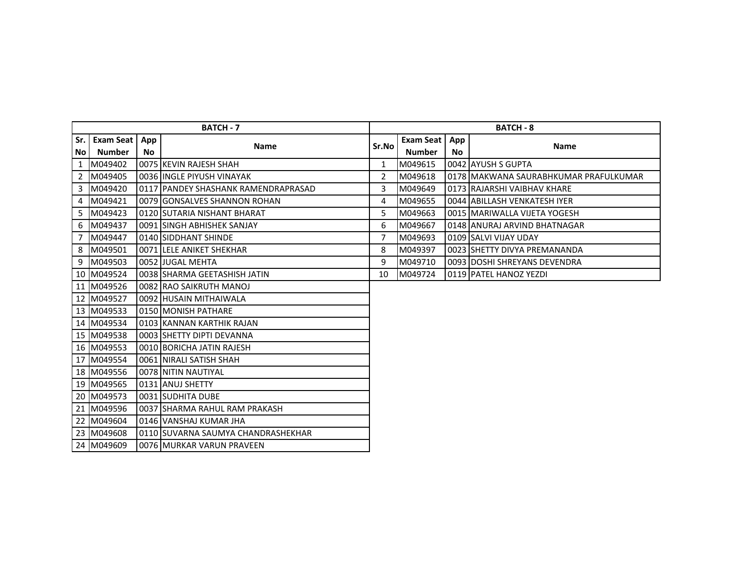|       |               | <b>BATCH - 7</b> | <b>BATCH - 8</b>                    |       |               |     |                                          |
|-------|---------------|------------------|-------------------------------------|-------|---------------|-----|------------------------------------------|
| Sr. I | Exam Seat     | App              | <b>Name</b>                         | Sr.No | Exam Seat     | App | <b>Name</b>                              |
| No l  | <b>Number</b> | No.              |                                     |       | <b>Number</b> | No. |                                          |
| 1     | M049402       |                  | 0075 KEVIN RAJESH SHAH              | 1     | M049615       |     | 0042 AYUSH S GUPTA                       |
|       | 2 M049405     |                  | 0036 IINGLE PIYUSH VINAYAK          | 2     | M049618       |     | 10178   MAKWANA SAURABHKUMAR PRAFULKUMAR |
|       | 3 M049420     |                  | 0117 PANDEY SHASHANK RAMENDRAPRASAD | 3     | M049649       |     | 0173 RAJARSHI VAIBHAV KHARE              |
| 4     | M049421       |                  | 0079 GONSALVES SHANNON ROHAN        | 4     | M049655       |     | 0044 ABILLASH VENKATESH IYER             |
| 5.    | M049423       |                  | 0120 SUTARIA NISHANT BHARAT         | 5     | M049663       |     | 0015 MARIWALLA VIJETA YOGESH             |
| 6     | M049437       |                  | 0091 ISINGH ABHISHEK SANJAY         | 6     | M049667       |     | 0148 ANURAJ ARVIND BHATNAGAR             |
| 7     | M049447       |                  | 0140 SIDDHANT SHINDE                | 7     | M049693       |     | 10109 ISALVI VIJAY UDAY                  |
| 8     | M049501       |                  | 0071 ILELE ANIKET SHEKHAR           | 8     | M049397       |     | 0023 SHETTY DIVYA PREMANANDA             |
| 9     | M049503       |                  | 0052 JJUGAL MEHTA                   | 9     | M049710       |     | 0093 IDOSHI SHREYANS DEVENDRA            |
|       | 10 M049524    |                  | 0038 SHARMA GEETASHISH JATIN        | 10    | M049724       |     | 0119 PATEL HANOZ YEZDI                   |
|       | 11 M049526    |                  | 0082 RAO SAIKRUTH MANOJ             |       |               |     |                                          |
|       | 12 M049527    |                  | 0092 HUSAIN MITHAIWALA              |       |               |     |                                          |
|       | 13 M049533    |                  | 0150 MONISH PATHARE                 |       |               |     |                                          |
|       | 14 M049534    |                  | 0103 KANNAN KARTHIK RAJAN           |       |               |     |                                          |
|       | 15 M049538    |                  | 0003 SHETTY DIPTI DEVANNA           |       |               |     |                                          |
|       | 16 M049553    |                  | 0010 BORICHA JATIN RAJESH           |       |               |     |                                          |
|       | 17 M049554    |                  | 0061 NIRALI SATISH SHAH             |       |               |     |                                          |
|       | 18 M049556    |                  | 0078 INITIN NAUTIYAL                |       |               |     |                                          |
|       | 19 M049565    |                  | 0131 ANUJ SHETTY                    |       |               |     |                                          |
|       | 20 M049573    |                  | 0031 SUDHITA DUBE                   |       |               |     |                                          |
|       | 21 M049596    |                  | 0037 SHARMA RAHUL RAM PRAKASH       |       |               |     |                                          |
|       | 22 M049604    |                  | 0146 VANSHAJ KUMAR JHA              |       |               |     |                                          |
|       | 23 M049608    |                  | 0110 ISUVARNA SAUMYA CHANDRASHEKHAR |       |               |     |                                          |
|       | 24 M049609    |                  | 0076 MURKAR VARUN PRAVEEN           |       |               |     |                                          |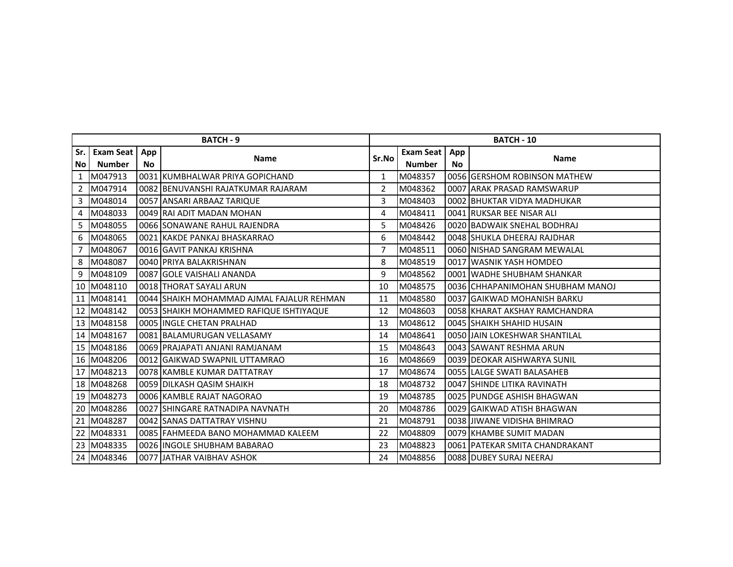| <b>BATCH - 9</b> |                  |           |                                           |                | <b>BATCH - 10</b> |           |                                  |  |  |
|------------------|------------------|-----------|-------------------------------------------|----------------|-------------------|-----------|----------------------------------|--|--|
| Sr.              | <b>Exam Seat</b> | App       | <b>Name</b>                               | Sr.No          | <b>Exam Seat</b>  | App       | <b>Name</b>                      |  |  |
| No.              | <b>Number</b>    | <b>No</b> |                                           |                | <b>Number</b>     | <b>No</b> |                                  |  |  |
| $\mathbf{1}$     | M047913          |           | 0031 KUMBHALWAR PRIYA GOPICHAND           | 1              | M048357           |           | 0056 GERSHOM ROBINSON MATHEW     |  |  |
| $\overline{2}$   | M047914          |           | 0082 BENUVANSHI RAJATKUMAR RAJARAM        | $\overline{2}$ | M048362           |           | 0007 ARAK PRASAD RAMSWARUP       |  |  |
| 3                | M048014          |           | 0057 ANSARI ARBAAZ TARIQUE                | 3              | M048403           |           | 0002 BHUKTAR VIDYA MADHUKAR      |  |  |
| 4                | M048033          |           | 0049 RAI ADIT MADAN MOHAN                 | 4              | M048411           |           | 0041 RUKSAR BEE NISAR ALI        |  |  |
| 5.               | M048055          |           | 0066 SONAWANE RAHUL RAJENDRA              | 5              | M048426           |           | 0020 BADWAIK SNEHAL BODHRAJ      |  |  |
| 6                | M048065          |           | 0021 KAKDE PANKAJ BHASKARRAO              | 6              | M048442           |           | 0048 SHUKLA DHEERAJ RAJDHAR      |  |  |
| 7                | M048067          |           | 0016 GAVIT PANKAJ KRISHNA                 | 7              | M048511           |           | 0060 NISHAD SANGRAM MEWALAL      |  |  |
| 8                | M048087          |           | 0040 PRIYA BALAKRISHNAN                   | 8              | M048519           |           | 0017 WASNIK YASH HOMDEO          |  |  |
| 9                | M048109          |           | 0087 GOLE VAISHALI ANANDA                 | 9              | M048562           |           | 0001 WADHE SHUBHAM SHANKAR       |  |  |
| 10               | M048110          |           | 0018 THORAT SAYALI ARUN                   | 10             | M048575           |           | 0036 CHHAPANIMOHAN SHUBHAM MANOJ |  |  |
|                  | 11 M048141       |           | 0044 SHAIKH MOHAMMAD AJMAL FAJALUR REHMAN | 11             | M048580           |           | 0037 GAIKWAD MOHANISH BARKU      |  |  |
| 12               | M048142          |           | 0053 SHAIKH MOHAMMED RAFIQUE ISHTIYAQUE   | 12             | M048603           |           | 0058 KHARAT AKSHAY RAMCHANDRA    |  |  |
|                  | 13 M048158       |           | 0005 IINGLE CHETAN PRALHAD                | 13             | M048612           |           | 0045 SHAIKH SHAHID HUSAIN        |  |  |
|                  | 14 M048167       |           | 0081 BALAMURUGAN VELLASAMY                | 14             | M048641           |           | 0050 JAIN LOKESHWAR SHANTILAL    |  |  |
|                  | 15 M048186       |           | 0069 PRAJAPATI ANJANI RAMJANAM            | 15             | M048643           |           | 0043 SAWANT RESHMA ARUN          |  |  |
|                  | 16 M048206       |           | 0012 GAIKWAD SWAPNIL UTTAMRAO             | 16             | M048669           |           | 0039 DEOKAR AISHWARYA SUNIL      |  |  |
|                  | 17 M048213       |           | 0078 KAMBLE KUMAR DATTATRAY               | 17             | M048674           |           | 0055 LALGE SWATI BALASAHEB       |  |  |
|                  | 18 M048268       |           | 0059 DILKASH QASIM SHAIKH                 | 18             | M048732           |           | 0047 SHINDE LITIKA RAVINATH      |  |  |
|                  | 19 M048273       |           | 0006 KAMBLE RAJAT NAGORAO                 | 19             | M048785           |           | 0025 PUNDGE ASHISH BHAGWAN       |  |  |
|                  | 20 M048286       |           | 0027 SHINGARE RATNADIPA NAVNATH           | 20             | M048786           |           | 0029 GAIKWAD ATISH BHAGWAN       |  |  |
|                  | 21 M048287       |           | 0042 SANAS DATTATRAY VISHNU               | 21             | M048791           |           | 0038 JIWANE VIDISHA BHIMRAO      |  |  |
|                  | 22 M048331       |           | 0085 FAHMEEDA BANO MOHAMMAD KALEEM        | 22             | M048809           |           | 0079 KHAMBE SUMIT MADAN          |  |  |
|                  | 23 M048335       |           | 0026 INGOLE SHUBHAM BABARAO               | 23             | M048823           |           | 0061 PATEKAR SMITA CHANDRAKANT   |  |  |
|                  | 24 M048346       |           | 0077 JJATHAR VAIBHAV ASHOK                | 24             | M048856           |           | 0088 DUBEY SURAJ NEERAJ          |  |  |